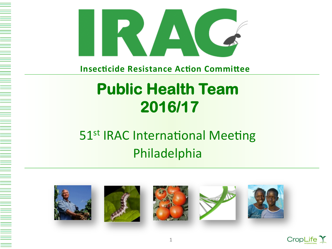

**Insecticide Resistance Action Committee** 

## **Public Health Team 2016/17**

#### 51<sup>st</sup> IRAC International Meeting Philadelphia











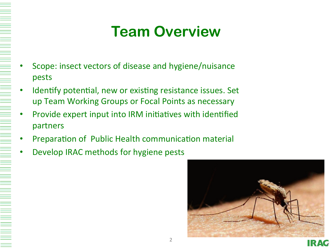## **Team Overview**

- Scope: insect vectors of disease and hygiene/nuisance pests
- Identify potential, new or existing resistance issues. Set up Team Working Groups or Focal Points as necessary
- Provide expert input into IRM initiatives with identified partners
- Preparation of Public Health communication material
- Develop IRAC methods for hygiene pests

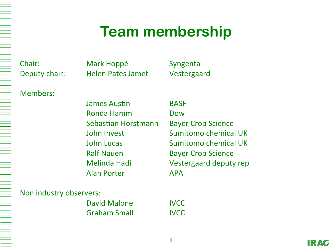#### **Team membership**

Chair: Mark Hoppé Syngenta Deputy chair: Helen Pates Jamet Vestergaard

Members: 

James Austin **BASF** Ronda Hamm **Dow** Sebastian Horstmann Bayer Crop Science Ralf Nauen **Bayer Crop Science** Alan Porter **APA** 

John Invest **Sumitomo** chemical UK **John Lucas Conserversity Conserversity** Sumitomo chemical UK Melinda Hadi **Calculary** Vestergaard deputy rep

Non industry observers:

David Malone **IVCC** Graham Small **IVCC**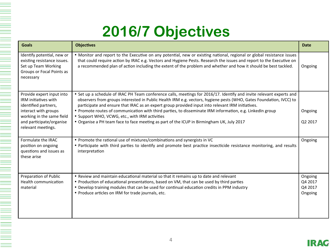#### **2016/7 Objectives**

| <b>Goals</b>                                                                                                               | <b>Objectives</b>                                                                                                                                                                                                                                                                                                                                                 | <b>Date</b>                              |
|----------------------------------------------------------------------------------------------------------------------------|-------------------------------------------------------------------------------------------------------------------------------------------------------------------------------------------------------------------------------------------------------------------------------------------------------------------------------------------------------------------|------------------------------------------|
| Identify potential, new or<br>existing resistance issues.<br>Set up Team Working<br>Groups or Focal Points as<br>necessary | • Monitor and report to the Executive on any potential, new or existing national, regional or global resistance issues<br>that could require action by IRAC e.g. Vectors and Hygiene Pests. Research the issues and report to the Executive on<br>a recommended plan of action including the extent of the problem and whether and how it should be best tackled. | Ongoing                                  |
| Provide expert input into<br>IRM initiatives with<br>identified partners,                                                  | • Set up a schedule of IRAC PH Team conference calls, meetings for 2016/17. Identify and invite relevant experts and<br>observers from groups interested in Public Health IRM e.g. vectors, hygiene pests (WHO, Gates Foundation, IVCC) to<br>participate and ensure that IRAC as an expert group provided input into relevant IRM initiatives.                   |                                          |
| interact with groups<br>working in the same field                                                                          | • Promote routes of communication with third parties, to disseminate IRM information, e.g. LinkedIn group<br>• Support WHO, VCWG, etc., with IRM activities                                                                                                                                                                                                       | Ongoing                                  |
| and participate/organise<br>relevant meetings.                                                                             | • Organise a PH team face to face meeting as part of the ICUP in Birmingham UK, July 2017                                                                                                                                                                                                                                                                         | Q2 2017                                  |
| Formulate the IRAC<br>position on ongoing<br>questions and issues as<br>these arise                                        | . Promote the rational use of mixtures/combinations and synergists in VC<br>• Participate with third parties to identify and promote best practice insecticide resistance monitoring, and results<br>interpretation                                                                                                                                               | Ongoing                                  |
| Preparation of Public<br><b>Health communication</b><br>material                                                           | • Review and maintain educational material so that it remains up to date and relevant<br>• Production of educational presentations, based on VM, that can be used by third parties<br>• Develop training modules that can be used for continual education credits in PPM industry<br>• Produce articles on IRM for trade journals, etc.                           | Ongoing<br>Q4 2017<br>Q4 2017<br>Ongoing |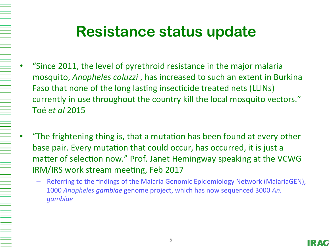- "Since 2011, the level of pyrethroid resistance in the major malaria mosquito, *Anopheles coluzzi*, has increased to such an extent in Burkina Faso that none of the long lasting insecticide treated nets (LLINs) currently in use throughout the country kill the local mosquito vectors." Toé *et al* 2015
- "The frightening thing is, that a mutation has been found at every other base pair. Every mutation that could occur, has occurred, it is just a matter of selection now." Prof. Janet Hemingway speaking at the VCWG IRM/IRS work stream meeting, Feb 2017
	- Referring to the findings of the Malaria Genomic Epidemiology Network (MalariaGEN), 1000 Anopheles gambiae genome project, which has now sequenced 3000 An. *gambiae*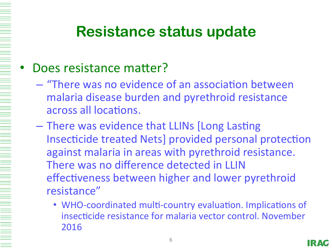#### Does resistance matter?

- $-$  "There was no evidence of an association between malaria disease burden and pyrethroid resistance across all locations.
- There was evidence that LLINs [Long Lasting Insecticide treated Nets] provided personal protection against malaria in areas with pyrethroid resistance. There was no difference detected in LLIN effectiveness between higher and lower pyrethroid resistance"
	- WHO-coordinated multi-country evaluation. Implications of insecticide resistance for malaria vector control. November 2016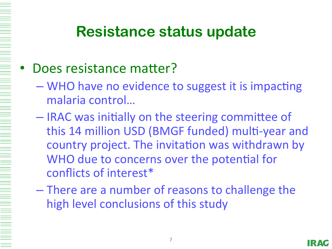#### Does resistance matter?

- WHO have no evidence to suggest it is impacting malaria control...
- IRAC was initially on the steering committee of this 14 million USD (BMGF funded) multi-year and country project. The invitation was withdrawn by WHO due to concerns over the potential for conflicts of interest\*
- $-$  There are a number of reasons to challenge the high level conclusions of this study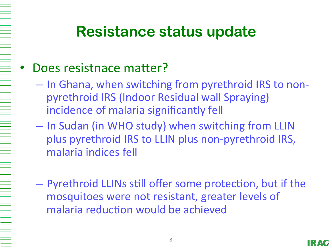#### Does resistnace matter?

- $-$  In Ghana, when switching from pyrethroid IRS to nonpyrethroid IRS (Indoor Residual wall Spraying) incidence of malaria significantly fell
- $-$  In Sudan (in WHO study) when switching from LLIN plus pyrethroid IRS to LLIN plus non-pyrethroid IRS, malaria indices fell
- $-$  Pyrethroid LLINs still offer some protection, but if the mosquitoes were not resistant, greater levels of malaria reduction would be achieved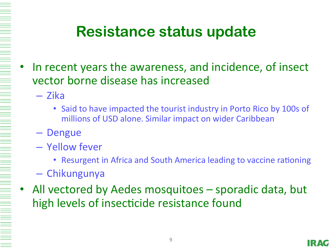- In recent years the awareness, and incidence, of insect vector borne disease has increased
	- Zika
		- Said to have impacted the tourist industry in Porto Rico by 100s of millions of USD alone. Similar impact on wider Caribbean
	- Dengue
	- Yellow fever
		- Resurgent in Africa and South America leading to vaccine rationing
	- Chikungunya
- All vectored by Aedes mosquitoes sporadic data, but high levels of insecticide resistance found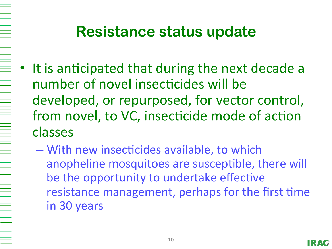- It is anticipated that during the next decade a number of novel insecticides will be developed, or repurposed, for vector control, from novel, to VC, insecticide mode of action classes
	- $-$  With new insecticides available, to which anopheline mosquitoes are susceptible, there will be the opportunity to undertake effective resistance management, perhaps for the first time in 30 years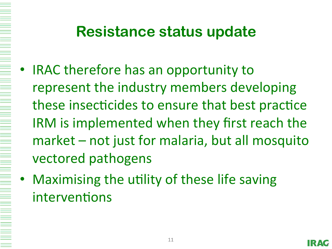- IRAC therefore has an opportunity to represent the industry members developing these insecticides to ensure that best practice IRM is implemented when they first reach the  $market - not just for malaria, but all mosquito$ vectored pathogens
	- Maximising the utility of these life saving interventions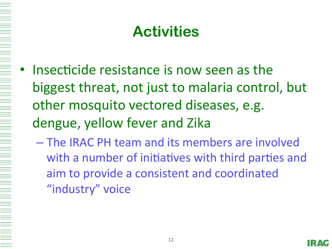## **Activities**

- Insecticide resistance is now seen as the biggest threat, not just to malaria control, but other mosquito vectored diseases, e.g. dengue, yellow fever and Zika
	- $-$  The IRAC PH team and its members are involved with a number of initiatives with third parties and aim to provide a consistent and coordinated "industry" voice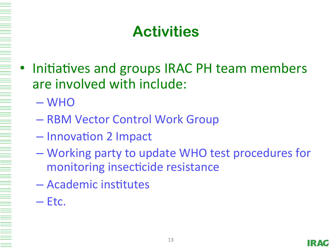# **Activities**

- Initiatives and groups IRAC PH team members are involved with include:
	- WHO
	- RBM Vector Control Work Group
	- Innovation 2 Impact
	- Working party to update WHO test procedures for monitoring insecticide resistance
	- Academic institutes
	- $-$  Etc.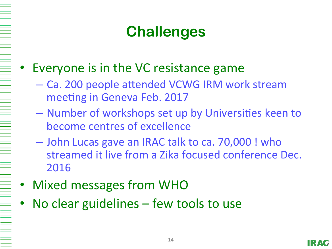# **Challenges**

- Everyone is in the VC resistance game
	- Ca. 200 people attended VCWG IRM work stream meeting in Geneva Feb. 2017
	- Number of workshops set up by Universities keen to become centres of excellence
	- John Lucas gave an IRAC talk to ca. 70,000 ! who streamed it live from a Zika focused conference Dec. 2016
- **Mixed messages from WHO**
- No clear guidelines  $-$  few tools to use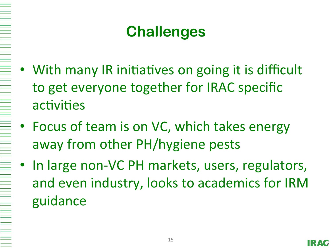# **Challenges**

- With many IR initiatives on going it is difficult to get everyone together for IRAC specific activities
- Focus of team is on VC, which takes energy away from other PH/hygiene pests
	- In large non-VC PH markets, users, regulators, and even industry, looks to academics for IRM guidance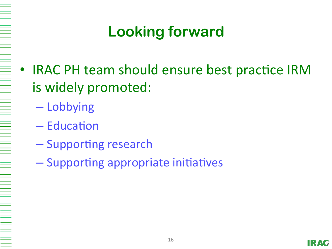# **Looking forward**

- IRAC PH team should ensure best practice IRM is widely promoted:
	- Lobbying
	- $-$  Education
	- Supporting research
	- Supporting appropriate initiatives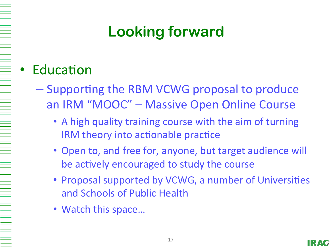# **Looking forward**

#### **Education**

- Supporting the RBM VCWG proposal to produce an IRM "MOOC" – Massive Open Online Course
	- A high quality training course with the aim of turning IRM theory into actionable practice
	- Open to, and free for, anyone, but target audience will be actively encouraged to study the course
	- Proposal supported by VCWG, a number of Universities and Schools of Public Health
	- Watch this space...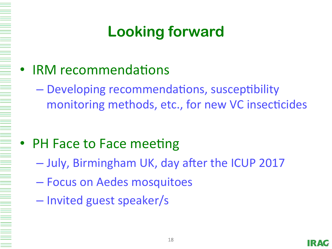# **Looking forward**

- IRM recommendations
	- Developing recommendations, susceptibility monitoring methods, etc., for new VC insecticides

#### **PH Face to Face meeting**

- July, Birmingham UK, day after the ICUP 2017
- Focus on Aedes mosquitoes
- Invited guest speaker/s